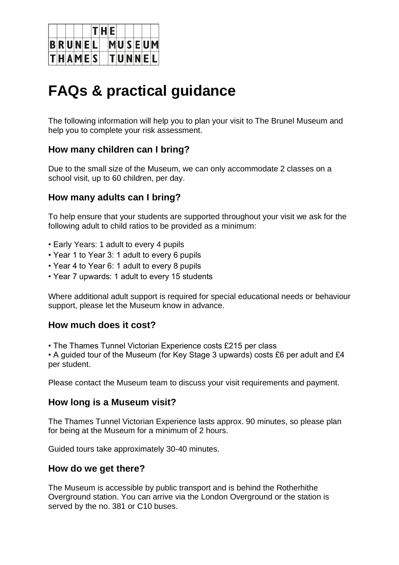

# **FAQs & practical guidance**

The following information will help you to plan your visit to The Brunel Museum and help you to complete your risk assessment.

# **How many children can I bring?**

Due to the small size of the Museum, we can only accommodate 2 classes on a school visit, up to 60 children, per day.

## **How many adults can I bring?**

To help ensure that your students are supported throughout your visit we ask for the following adult to child ratios to be provided as a minimum:

- Early Years: 1 adult to every 4 pupils
- Year 1 to Year 3: 1 adult to every 6 pupils
- Year 4 to Year 6: 1 adult to every 8 pupils
- Year 7 upwards: 1 adult to every 15 students

Where additional adult support is required for special educational needs or behaviour support, please let the Museum know in advance.

#### **How much does it cost?**

• The Thames Tunnel Victorian Experience costs £215 per class

• A guided tour of the Museum (for Key Stage 3 upwards) costs £6 per adult and £4 per student.

Please contact the Museum team to discuss your visit requirements and payment.

#### **How long is a Museum visit?**

The Thames Tunnel Victorian Experience lasts approx. 90 minutes, so please plan for being at the Museum for a minimum of 2 hours.

Guided tours take approximately 30-40 minutes.

#### **How do we get there?**

The Museum is accessible by public transport and is behind the Rotherhithe Overground station. You can arrive via the London Overground or the station is served by the no. 381 or C10 buses.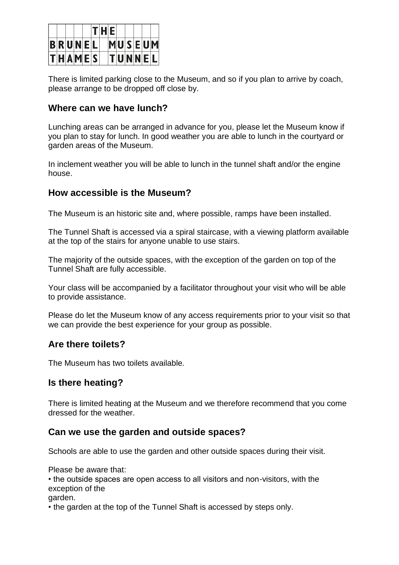

There is limited parking close to the Museum, and so if you plan to arrive by coach, please arrange to be dropped off close by.

#### **Where can we have lunch?**

Lunching areas can be arranged in advance for you, please let the Museum know if you plan to stay for lunch. In good weather you are able to lunch in the courtyard or garden areas of the Museum.

In inclement weather you will be able to lunch in the tunnel shaft and/or the engine house.

## **How accessible is the Museum?**

The Museum is an historic site and, where possible, ramps have been installed.

The Tunnel Shaft is accessed via a spiral staircase, with a viewing platform available at the top of the stairs for anyone unable to use stairs.

The majority of the outside spaces, with the exception of the garden on top of the Tunnel Shaft are fully accessible.

Your class will be accompanied by a facilitator throughout your visit who will be able to provide assistance.

Please do let the Museum know of any access requirements prior to your visit so that we can provide the best experience for your group as possible.

#### **Are there toilets?**

The Museum has two toilets available.

## **Is there heating?**

There is limited heating at the Museum and we therefore recommend that you come dressed for the weather.

# **Can we use the garden and outside spaces?**

Schools are able to use the garden and other outside spaces during their visit.

Please be aware that:

• the outside spaces are open access to all visitors and non-visitors, with the exception of the

garden.

• the garden at the top of the Tunnel Shaft is accessed by steps only.